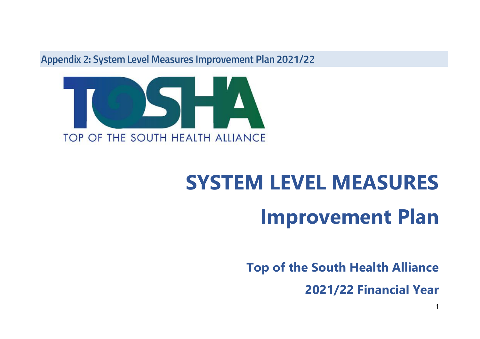Appendix 2: System Level Measures Improvement Plan 2021/22



# **SYSTEM LEVEL MEASURES Improvement Plan**

**Top of the South Health Alliance**

**2021/22 Financial Year**

1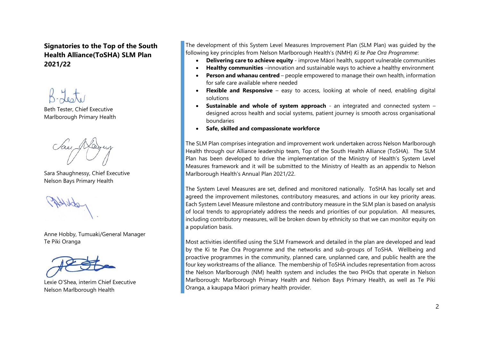**Signatories to the Top of the South Health Alliance(ToSHA) SLM Plan 2021/22**

Beth Tester, Chief Executive Marlborough Primary Health

Sara Shaughnessy, Chief Executive Nelson Bays Primary Health

Anne Hobby, Tumuaki/General Manager Te Piki Oranga



Lexie O'Shea, interim Chief Executive Nelson Marlborough Health

The development of this System Level Measures Improvement Plan (SLM Plan) was guided by the following key principles from Nelson Marlborough Health's (NMH) *Ki te Pae Ora Programme*:

- **Delivering care to achieve equity** improve Māori health, support vulnerable communities
- **Healthy communities** –innovation and sustainable ways to achieve a healthy environment
- **Person and whanau centred** people empowered to manage their own health, information for safe care available where needed
- **Flexible and Responsive** easy to access, looking at whole of need, enabling digital solutions
- **Sustainable and whole of system approach** an integrated and connected system designed across health and social systems, patient journey is smooth across organisational boundaries
- **Safe, skilled and compassionate workforce**

The SLM Plan comprises integration and improvement work undertaken across Nelson Marlborough Health through our Alliance leadership team, Top of the South Health Alliance (ToSHA). The SLM Plan has been developed to drive the implementation of the Ministry of Health's System Level Measures framework and it will be submitted to the Ministry of Health as an appendix to Nelson Marlborough Health's Annual Plan 2021/22.

The System Level Measures are set, defined and monitored nationally. ToSHA has locally set and agreed the improvement milestones, contributory measures, and actions in our key priority areas. Each System Level Measure milestone and contributory measure in the SLM plan is based on analysis of local trends to appropriately address the needs and priorities of our population. All measures, including contributory measures, will be broken down by ethnicity so that we can monitor equity on a population basis.

Most activities identified using the SLM Framework and detailed in the plan are developed and lead by the Ki te Pae Ora Programme and the networks and sub-groups of ToSHA. Wellbeing and proactive programmes in the community, planned care, unplanned care, and public health are the four key workstreams of the alliance. The membership of ToSHA includes representation from across the Nelson Marlborough (NM) health system and includes the two PHOs that operate in Nelson Marlborough: Marlborough Primary Health and Nelson Bays Primary Health, as well as Te Piki Oranga, a kaupapa Māori primary health provider.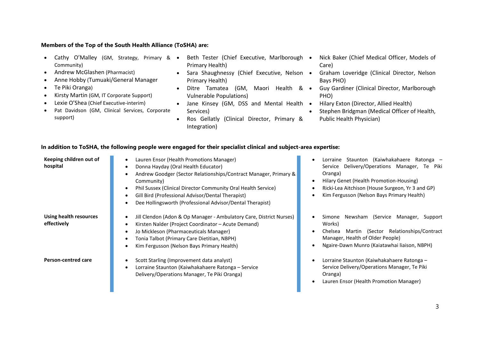#### **Members of the Top of the South Health Alliance (ToSHA) are:**

- Cathy O'Malley (GM, Strategy, Primary & Beth Tester (Chief Executive, Marlborough Community)
- Andrew McGlashen (Pharmacist)
- Anne Hobby (Tumuaki/General Manager
- Te Piki Oranga)
- Kirsty Martin (GM, IT Corporate Support)
- Lexie O'Shea (Chief Executive-interim)
- Pat Davidson (GM, Clinical Services, Corporate support)
- Primary Health)
- Sara Shaughnessy (Chief Executive, Nelson Primary Health)
- Ditre Tamatea (GM, Maori Health & Vulnerable Populations)
- Jane Kinsey (GM, DSS and Mental Health Services)
- Ros Gellatly (Clinical Director, Primary & Integration)
- Nick Baker (Chief Medical Officer, Models of Care)
- Graham Loveridge (Clinical Director, Nelson Bays PHO)
- Guy Gardiner (Clinical Director, Marlborough PHO)
- Hilary Exton (Director, Allied Health)
- Stephen Bridgman (Medical Officer of Health, Public Health Physician)

#### **In addition to ToSHA, the following people were engaged for their specialist clinical and subject-area expertise:**

| Keeping children out of               | Lauren Ensor (Health Promotions Manager)<br>$\bullet$                                                                                        | Staunton (<br>Lorraine        |
|---------------------------------------|----------------------------------------------------------------------------------------------------------------------------------------------|-------------------------------|
| hospital                              | Donna Hayday (Oral Health Educator)<br>$\bullet$                                                                                             | Service Delivery/Ope          |
|                                       | Andrew Goodger (Sector Relationships/Contract Manager, Primary &                                                                             | Oranga)                       |
|                                       | Community)                                                                                                                                   | Hilary Genet (Health Pi       |
|                                       | Phil Sussex (Clinical Director Community Oral Health Service)<br>$\bullet$                                                                   | Ricki-Lea Aitchison (Ho       |
|                                       | Gill Bird (Professional Advisor/Dental Therapist)<br>$\bullet$                                                                               | Kim Fergusson (Nelson         |
|                                       | Dee Hollingsworth (Professional Advisor/Dental Therapist)<br>$\bullet$                                                                       |                               |
| Using health resources<br>effectively | Jill Clendon (Adon & Op Manager - Ambulatory Care, District Nurses)<br>$\bullet$<br>Kirsten Nalder (Project Coordinator – Acute Demand)<br>٠ | Newsham (<br>Simone<br>Works) |
|                                       | Jo Mickleson (Pharmaceuticals Manager)<br>$\bullet$                                                                                          | Chelsea<br>Martin (Se         |
|                                       | Tonia Talbot (Primary Care Dietitian, NBPH)<br>$\bullet$                                                                                     | Manager, Health of Old        |
|                                       | Kim Fergusson (Nelson Bays Primary Health)<br>$\bullet$                                                                                      | Ngaire-Dawn Munro (K          |
| <b>Person-centred care</b>            | Scott Starling (Improvement data analyst)<br>٠                                                                                               | Lorraine Staunton (Kai        |
|                                       | Lorraine Staunton (Kaiwhakahaere Ratonga - Service<br>$\bullet$                                                                              | Service Delivery/Opera        |
|                                       | Delivery/Operations Manager, Te Piki Oranga)                                                                                                 | Oranga)                       |
|                                       |                                                                                                                                              | Lauren Ensor (Health P        |
|                                       |                                                                                                                                              |                               |

- Kaiwhakahaere Ratonga **Service Service Delivers**<br>Prations Manager, Te Piki
- romotion-Housing)
- buse Surgeon, Yr 3 and GP)
- **Bays Primary Health)**
- Service Manager, Support
- ector Relationships/Contract der People)
- Kaiatawhai liaison, NBPH)
- whakahaere Ratonga ations Manager, Te Piki
- **Promotion Manager)**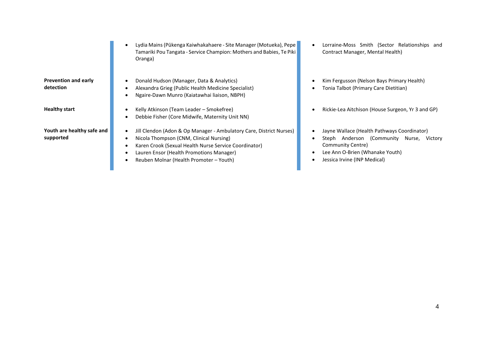| <b>Prevention and early</b><br>detection |
|------------------------------------------|
| <b>Healthy start</b>                     |
| Vouth are healthy safe ar                |

and **supported**

- Lydia Mains (Pūkenga Kaiwhakahaere Site Manager (Motueka), Pepe Tamariki Pou Tangata - Service Champion: Mothers and Babies, Te Piki Oranga)
- Donald Hudson (Manager, Data & Analytics)
- Alexandra Grieg (Public Health Medicine Specialist)
- Ngaire-Dawn Munro (Kaiatawhai liaison, NBPH)
- **•** Kelly Atkinson (Team Leader Smokefree)
- Debbie Fisher (Core Midwife, Maternity Unit NN)
- Jill Clendon (Adon & Op Manager Ambulatory Care, District Nurses)
- Nicola Thompson (CNM, Clinical Nursing)
- Karen Crook (Sexual Health Nurse Service Coordinator)
- Lauren Ensor (Health Promotions Manager)
- Reuben Molnar (Health Promoter Youth)
- Lorraine-Moss Smith (Sector Relationships and Contract Manager, Mental Health)
- Kim Fergusson (Nelson Bays Primary Health)
- Tonia Talbot (Primary Care Dietitian)
- Rickie-Lea Aitchison (House Surgeon, Yr 3 and GP)
- Jayne Wallace (Health Pathways Coordinator)
- Steph Anderson (Community Nurse, Victory Community Centre)
- Lee Ann O-Brien (Whanake Youth)
- Jessica Irvine (INP Medical)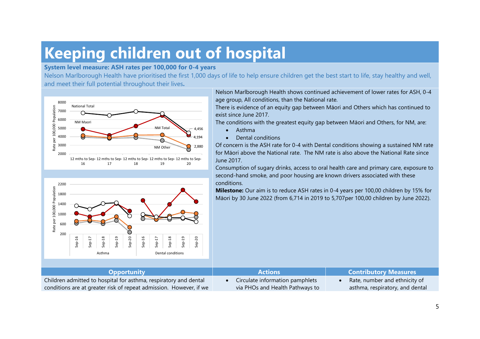### **Keeping children out of hospital**

#### **System level measure: ASH rates per 100,000 for 0-4 years**

Nelson Marlborough Health have prioritised the first 1,000 days of life to help ensure children get the best start to life, stay healthy and well, and meet their full potential throughout their lives**.**





Nelson Marlborough Health shows continued achievement of lower rates for ASH, 0-4 age group, All conditions, than the National rate.

There is evidence of an equity gap between Māori and Others which has continued to exist since June 2017.

The conditions with the greatest equity gap between Māori and Others, for NM, are:

- Asthma
- Dental conditions

Of concern is the ASH rate for 0-4 with Dental conditions showing a sustained NM rate for Māori above the National rate. The NM rate is also above the National Rate since June 2017.

Consumption of sugary drinks, access to oral health care and primary care, exposure to second-hand smoke, and poor housing are known drivers associated with these conditions.

**Milestone:** Our aim is to reduce ASH rates in 0-4 years per 100,00 children by 15% for Māori by 30 June 2022 (from 6,714 in 2019 to 5,707per 100,00 children by June 2022).

| <b>Opportunity</b>                                                 | <b>Actions</b>                  | <b>Contributory Measures</b>    |
|--------------------------------------------------------------------|---------------------------------|---------------------------------|
| Children admitted to hospital for asthma, respiratory and dental   | Circulate information pamphlets | Rate, number and ethnicity of   |
| conditions are at greater risk of repeat admission. However, if we | via PHOs and Health Pathways to | asthma, respiratory, and dental |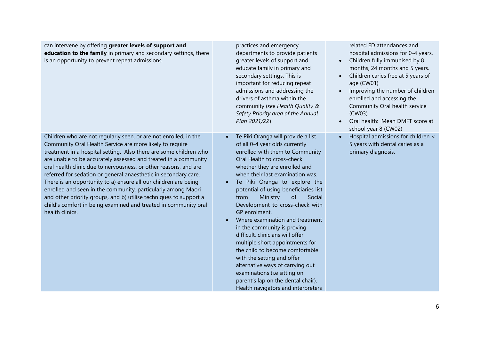| can intervene by offering greater levels of support and<br>education to the family in primary and secondary settings, there<br>is an opportunity to prevent repeat admissions.                                                                                                                                                                                                                                                                                                                                                                                                                                                                                                                            | practices and emergency<br>departments to provide patients<br>greater levels of support and<br>educate family in primary and<br>secondary settings. This is<br>important for reducing repeat<br>admissions and addressing the<br>drivers of asthma within the<br>community (see Health Quality &<br>Safety Priority area of the Annual<br>Plan 2021/22)                                                                                                                                                                                                                                                                                                                                                                                                                       | related ED attendances and<br>hospital admissions for 0-4 years.<br>Children fully immunised by 8<br>$\bullet$<br>months, 24 months and 5 years.<br>Children caries free at 5 years of<br>age (CW01)<br>Improving the number of children<br>$\bullet$<br>enrolled and accessing the<br>Community Oral health service<br>(CW03)<br>Oral health: Mean DMFT score at<br>school year 8 (CW02) |
|-----------------------------------------------------------------------------------------------------------------------------------------------------------------------------------------------------------------------------------------------------------------------------------------------------------------------------------------------------------------------------------------------------------------------------------------------------------------------------------------------------------------------------------------------------------------------------------------------------------------------------------------------------------------------------------------------------------|-------------------------------------------------------------------------------------------------------------------------------------------------------------------------------------------------------------------------------------------------------------------------------------------------------------------------------------------------------------------------------------------------------------------------------------------------------------------------------------------------------------------------------------------------------------------------------------------------------------------------------------------------------------------------------------------------------------------------------------------------------------------------------|-------------------------------------------------------------------------------------------------------------------------------------------------------------------------------------------------------------------------------------------------------------------------------------------------------------------------------------------------------------------------------------------|
| Children who are not regularly seen, or are not enrolled, in the<br>Community Oral Health Service are more likely to require<br>treatment in a hospital setting. Also there are some children who<br>are unable to be accurately assessed and treated in a community<br>oral health clinic due to nervousness, or other reasons, and are<br>referred for sedation or general anaesthetic in secondary care.<br>There is an opportunity to a) ensure all our children are being<br>enrolled and seen in the community, particularly among Maori<br>and other priority groups, and b) utilise techniques to support a<br>child's comfort in being examined and treated in community oral<br>health clinics. | Te Piki Oranga will provide a list<br>$\bullet$<br>of all 0-4 year olds currently<br>enrolled with them to Community<br>Oral Health to cross-check<br>whether they are enrolled and<br>when their last examination was.<br>Te Piki Oranga to explore the<br>$\bullet$<br>potential of using beneficiaries list<br>Ministry<br>of<br>Social<br>from<br>Development to cross-check with<br>GP enrolment.<br>Where examination and treatment<br>$\bullet$<br>in the community is proving<br>difficult, clinicians will offer<br>multiple short appointments for<br>the child to become comfortable<br>with the setting and offer<br>alternative ways of carrying out<br>examinations (i.e sitting on<br>parent's lap on the dental chair).<br>Health navigators and interpreters | Hospital admissions for children <<br>5 years with dental caries as a<br>primary diagnosis.                                                                                                                                                                                                                                                                                               |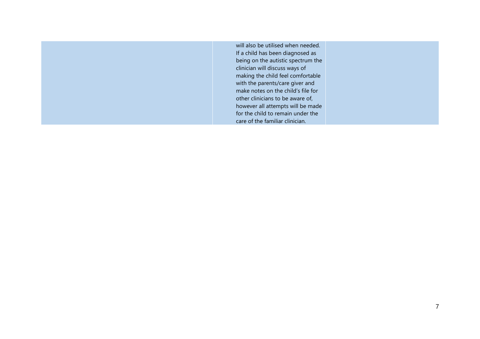| will also be utilised when needed. |
|------------------------------------|
| If a child has been diagnosed as   |
| being on the autistic spectrum the |
| clinician will discuss ways of     |
| making the child feel comfortable  |
| with the parents/care giver and    |
| make notes on the child's file for |
| other clinicians to be aware of,   |
| however all attempts will be made  |
| for the child to remain under the  |
| care of the familiar clinician.    |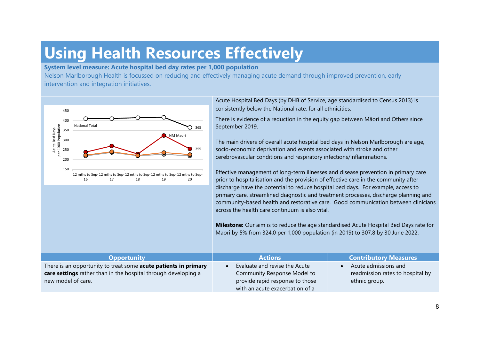### **Using Health Resources Effectively**

#### **System level measure: Acute hospital bed day rates per 1,000 population**

Nelson Marlborough Health is focussed on reducing and effectively managing acute demand through improved prevention, early intervention and integration initiatives.



Acute Hospital Bed Days (by DHB of Service, age standardised to Census 2013) is consistently below the National rate, for all ethnicities.

There is evidence of a reduction in the equity gap between Māori and Others since

The main drivers of overall acute hospital bed days in Nelson Marlborough are age, socio-economic deprivation and events associated with stroke and other cerebrovascular conditions and respiratory infections/inflammations.

Effective management of long-term illnesses and disease prevention in primary care prior to hospitalisation and the provision of effective care in the community after discharge have the potential to reduce hospital bed days. For example, access to primary care, streamlined diagnostic and treatment processes, discharge planning and community-based health and restorative care. Good communication between clinicians across the health care continuum is also vital.

**Milestone:** Our aim is to reduce the age standardised Acute Hospital Bed Days rate for Māori by 5% from 324.0 per 1,000 population (in 2019) to 307.8 by 30 June 2022.

| <b>Opportunity</b>                                                     | <b>Actions</b>                  | <b>Contributory Measures</b>     |
|------------------------------------------------------------------------|---------------------------------|----------------------------------|
| There is an opportunity to treat some <b>acute patients in primary</b> | Evaluate and revise the Acute   | Acute admissions and             |
| care settings rather than in the hospital through developing a         | Community Response Model to     | readmission rates to hospital by |
| new model of care.                                                     | provide rapid response to those | ethnic group.                    |
|                                                                        | with an acute exacerbation of a |                                  |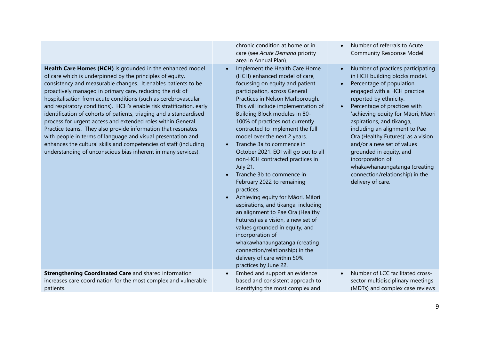|                                                                                                                                                                                                                                                                                                                                                                                                                                                                                                                                                                                                                                                                                                                                                                                                           | chronic condition at home or in<br>care (see Acute Demand priority<br>area in Annual Plan).                                                                                                                                                                                                                                                                                                                                                                                                                                                                                                                                                                                                                                                                                                                                                                                                        | Number of referrals to Acute<br>$\bullet$<br><b>Community Response Model</b>                                                                                                                                                                                                                                                                                                                                                                                                                                                                   |
|-----------------------------------------------------------------------------------------------------------------------------------------------------------------------------------------------------------------------------------------------------------------------------------------------------------------------------------------------------------------------------------------------------------------------------------------------------------------------------------------------------------------------------------------------------------------------------------------------------------------------------------------------------------------------------------------------------------------------------------------------------------------------------------------------------------|----------------------------------------------------------------------------------------------------------------------------------------------------------------------------------------------------------------------------------------------------------------------------------------------------------------------------------------------------------------------------------------------------------------------------------------------------------------------------------------------------------------------------------------------------------------------------------------------------------------------------------------------------------------------------------------------------------------------------------------------------------------------------------------------------------------------------------------------------------------------------------------------------|------------------------------------------------------------------------------------------------------------------------------------------------------------------------------------------------------------------------------------------------------------------------------------------------------------------------------------------------------------------------------------------------------------------------------------------------------------------------------------------------------------------------------------------------|
| Health Care Homes (HCH) is grounded in the enhanced model<br>of care which is underpinned by the principles of equity,<br>consistency and measurable changes. It enables patients to be<br>proactively managed in primary care, reducing the risk of<br>hospitalisation from acute conditions (such as cerebrovascular<br>and respiratory conditions). HCH's enable risk stratification, early<br>identification of cohorts of patients, triaging and a standardised<br>process for urgent access and extended roles within General<br>Practice teams. They also provide information that resonates<br>with people in terms of language and visual presentation and<br>enhances the cultural skills and competencies of staff (including<br>understanding of unconscious bias inherent in many services). | Implement the Health Care Home<br>(HCH) enhanced model of care,<br>focussing on equity and patient<br>participation, across General<br>Practices in Nelson Marlborough.<br>This will include implementation of<br>Building Block modules in 80-<br>100% of practices not currently<br>contracted to implement the full<br>model over the next 2 years.<br>Tranche 3a to commence in<br>October 2021. EOI will go out to all<br>non-HCH contracted practices in<br><b>July 21.</b><br>Tranche 3b to commence in<br>February 2022 to remaining<br>practices.<br>Achieving equity for Māori, Māori<br>aspirations, and tikanga, including<br>an alignment to Pae Ora (Healthy<br>Futures) as a vision, a new set of<br>values grounded in equity, and<br>incorporation of<br>whakawhanaungatanga (creating<br>connection/relationship) in the<br>delivery of care within 50%<br>practices by June 22. | Number of practices participating<br>$\bullet$<br>in HCH building blocks model.<br>Percentage of population<br>$\bullet$<br>engaged with a HCH practice<br>reported by ethnicity.<br>Percentage of practices with<br>$\bullet$<br>'achieving equity for Māori, Māori<br>aspirations, and tikanga,<br>including an alignment to Pae<br>Ora (Healthy Futures)' as a vision<br>and/or a new set of values<br>grounded in equity, and<br>incorporation of<br>whakawhanaungatanga (creating<br>connection/relationship) in the<br>delivery of care. |
| <b>Strengthening Coordinated Care and shared information</b><br>increases care coordination for the most complex and vulnerable<br>patients.                                                                                                                                                                                                                                                                                                                                                                                                                                                                                                                                                                                                                                                              | Embed and support an evidence<br>based and consistent approach to<br>identifying the most complex and                                                                                                                                                                                                                                                                                                                                                                                                                                                                                                                                                                                                                                                                                                                                                                                              | Number of LCC facilitated cross-<br>$\bullet$<br>sector multidisciplinary meetings<br>(MDTs) and complex case reviews                                                                                                                                                                                                                                                                                                                                                                                                                          |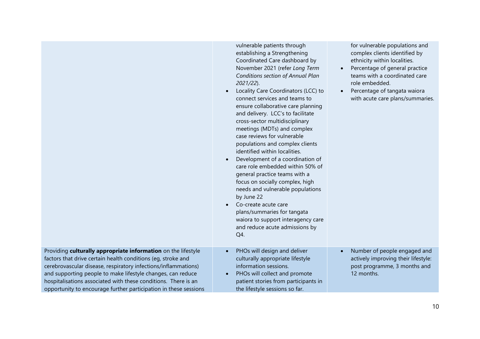|                                                                                                                                                                                                                                                                                                                                                                                                      | vulnerable patients through<br>establishing a Strengthening<br>Coordinated Care dashboard by<br>November 2021 (refer Long Term<br>Conditions section of Annual Plan<br>$2021/22$ ).<br>Locality Care Coordinators (LCC) to<br>connect services and teams to<br>ensure collaborative care planning<br>and delivery. LCC's to facilitate<br>cross-sector multidisciplinary<br>meetings (MDTs) and complex<br>case reviews for vulnerable<br>populations and complex clients<br>identified within localities.<br>Development of a coordination of<br>care role embedded within 50% of<br>general practice teams with a<br>focus on socially complex, high<br>needs and vulnerable populations<br>by June 22<br>Co-create acute care<br>plans/summaries for tangata<br>waiora to support interagency care<br>and reduce acute admissions by<br>Q4. | for vulnerable populations and<br>complex clients identified by<br>ethnicity within localities.<br>Percentage of general practice<br>$\bullet$<br>teams with a coordinated care<br>role embedded.<br>Percentage of tangata waiora<br>$\bullet$<br>with acute care plans/summaries. |
|------------------------------------------------------------------------------------------------------------------------------------------------------------------------------------------------------------------------------------------------------------------------------------------------------------------------------------------------------------------------------------------------------|------------------------------------------------------------------------------------------------------------------------------------------------------------------------------------------------------------------------------------------------------------------------------------------------------------------------------------------------------------------------------------------------------------------------------------------------------------------------------------------------------------------------------------------------------------------------------------------------------------------------------------------------------------------------------------------------------------------------------------------------------------------------------------------------------------------------------------------------|------------------------------------------------------------------------------------------------------------------------------------------------------------------------------------------------------------------------------------------------------------------------------------|
| Providing culturally appropriate information on the lifestyle<br>factors that drive certain health conditions (eg, stroke and<br>cerebrovascular disease, respiratory infections/inflammations)<br>and supporting people to make lifestyle changes, can reduce<br>hospitalisations associated with these conditions. There is an<br>opportunity to encourage further participation in these sessions | PHOs will design and deliver<br>culturally appropriate lifestyle<br>information sessions.<br>PHOs will collect and promote<br>patient stories from participants in<br>the lifestyle sessions so far.                                                                                                                                                                                                                                                                                                                                                                                                                                                                                                                                                                                                                                           | Number of people engaged and<br>actively improving their lifestyle:<br>post programme, 3 months and<br>12 months.                                                                                                                                                                  |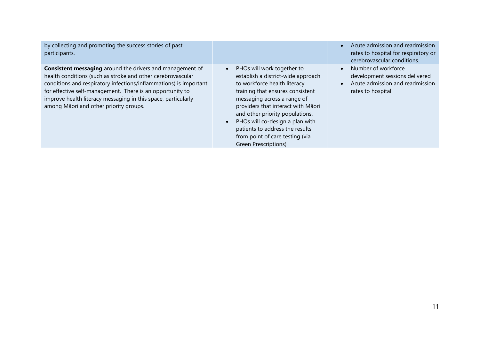| by collecting and promoting the success stories of past<br>participants.                                                                                                                                                                                                                                                                                                     |                                                                                                                                                                                                                                                                                                                                                                                                         | Acute admission and readmission<br>rates to hospital for respiratory or<br>cerebrovascular conditions.        |
|------------------------------------------------------------------------------------------------------------------------------------------------------------------------------------------------------------------------------------------------------------------------------------------------------------------------------------------------------------------------------|---------------------------------------------------------------------------------------------------------------------------------------------------------------------------------------------------------------------------------------------------------------------------------------------------------------------------------------------------------------------------------------------------------|---------------------------------------------------------------------------------------------------------------|
| <b>Consistent messaging</b> around the drivers and management of<br>health conditions (such as stroke and other cerebrovascular<br>conditions and respiratory infections/inflammations) is important<br>for effective self-management. There is an opportunity to<br>improve health literacy messaging in this space, particularly<br>among Māori and other priority groups. | PHOs will work together to<br>$\bullet$<br>establish a district-wide approach<br>to workforce health literacy<br>training that ensures consistent<br>messaging across a range of<br>providers that interact with Māori<br>and other priority populations.<br>PHOs will co-design a plan with<br>$\bullet$<br>patients to address the results<br>from point of care testing (via<br>Green Prescriptions) | Number of workforce<br>development sessions delivered<br>Acute admission and readmission<br>rates to hospital |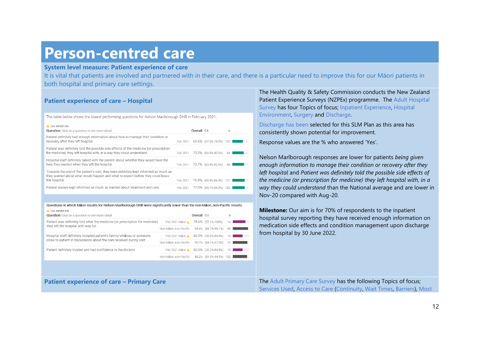### **Person-centred care**

#### **System level measure: Patient experience of care**

It is vital that patients are involved and partnered with in their care, and there is a particular need to improve this for our Māori patients in both hospital and primary care settings.

### **Patient experience of care – Hospital**

The table below shows the lowest performing questions for Nelson Marlborough DHB in February 2021.

| A Low sample size<br>Question Click on a question to see more detail                                                                                                                     |          | Overall C.I. |                         | n   |  |
|------------------------------------------------------------------------------------------------------------------------------------------------------------------------------------------|----------|--------------|-------------------------|-----|--|
| Patient definitely had enough information about how to manage their condition or<br>recovery after they left hospital.                                                                   | Feb 2021 |              | 65.6% (57.2%-74.0%) 122 |     |  |
| Patient was definitely told the possible side effects of the medicine (or prescription<br>for medicine) they left hospital with, in a way they could understand.                         | Feb 2021 |              | 70.2% (60.4%-80.0%)     | 84  |  |
| Hospital staff definitely talked with the patient about whether they would have the<br>help they needed when they left the hospital.                                                     | Feb 2021 |              | 72.7% (63.4%-82.0%)     | 88  |  |
| Towards the end of the patient's visit, they were definitely kept informed as much as<br>they wanted about what would happen and what to expect before they could leave<br>the hospital. | Feb 2021 |              | 76.9% (69.4%-84.4%) 121 |     |  |
| Patient always kept informed as much as wanted about treatment and care.                                                                                                                 | Feb 2021 |              | 77.0% (69.7%-84.3%)     | 126 |  |

Questions in which Māori results for Nelson Marlborough DHB were significantly lower than the non-Māori, non-Pacific results.

| <b>A</b> Low sample size<br><b>Question</b> Click on a question to see more detail |                        | Overall C.I. |                         | n               |  |
|------------------------------------------------------------------------------------|------------------------|--------------|-------------------------|-----------------|--|
| Patient was definitely told what the medicine (or prescription for medicine)       | Feb 2021 Maori A       |              | 78.6% (57.1%-100%)      | 14              |  |
| they left the hospital with was for.                                               | Non-Māori, non-Pacific |              | 94.4% (89.7%-99.1%)     | 90              |  |
| Hospital staff definitely included patient's family/whanau or someone              | Feb 2021 Māori ▲       |              | 60.0% (35.2%-84.8%)     | 15              |  |
| close to patient in discussions about the care received during visit.              | Non-Māori, non-Pacific |              | 90.7% (84.1%-97.3%)     | 75              |  |
| Patient definitely trusted and had confidence in the doctors.                      | Feb 2021 Māori A       |              | 60.0% (35.2%-84.8%)     | 15 <sup>1</sup> |  |
|                                                                                    | Non-Māori, non-Pacific |              | 88.2% (81.9%-94.5%) 102 |                 |  |
|                                                                                    |                        |              |                         |                 |  |
|                                                                                    |                        |              |                         |                 |  |
| <b>Patient experience of care - Primary Care</b>                                   |                        |              |                         |                 |  |

The Health Quality & Safety Commission conducts the New Zealand Patient Experience Surveys (NZPEx) programme. The Adult Hospital Survey has four Topics of focus; Inpatient Experience, Hospital Environment, Surgery and Discharge.

Discharge has been selected for this SLM Plan as this area has consistently shown potential for improvement.

Response values are the % who answered 'Yes'.

Nelson Marlborough responses are lower for patients *being given enough information to manage their condition or recovery after they left hospital* and *Patient was definitely told the possible side effects of the medicine (or prescription for medicine) they left hospital with, in a way they could understand* than the National average and are lower in Nov-20 compared with Aug-20.

**Milestone:** Our aim is for 70% of respondents to the inpatient hospital survey reporting they have received enough information on medication side effects and condition management upon discharge from hospital by 30 June 2022.

**The Adult Primary Care Survey has the following Topics of focus;** Services Used, Access to Care (Continuity, Wait Times, Barriers), Most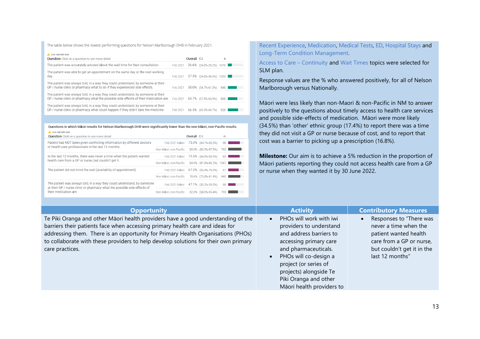The table below shows the lowest performing questions for Nelson Marlborough DHB in February 2021.

| A Low sample size<br><b>Question</b> Click on a question to see more detail                                                                                               |          | Overall C.I. |                          | n   |  |
|---------------------------------------------------------------------------------------------------------------------------------------------------------------------------|----------|--------------|--------------------------|-----|--|
| The patient was accurately advised about the wait time for their consultation.                                                                                            | Feb 2021 |              | 26.6% (24.0%-29.2%) 1076 |     |  |
| The patient was able to get an appointment on the same day or the next working<br>day.                                                                                    | Feb 2021 |              | 27.3% (24.6%-30.0%) 1053 |     |  |
| The patient was always told, in a way they could understand, by someone at their<br>GP / nurse clinic or pharmacy what to do if they experienced side effects.            | Feb 2021 |              | 58.0% (54.7%-61.3%)      | 848 |  |
| The patient was always told, in a way they could understand, by someone at their<br>GP / nurse clinic or pharmacy what the possible side effects of their medication are. | Feb 2021 |              | 60.7% (57.5%-63.9%)      | 868 |  |
| The patient was always told, in a way they could understand, by someone at their<br>GP / nurse clinic or pharmacy what could happen if they didn't take the medicine.     | Feb 2021 |              | 66.5% (63.3%-69.7%)      | 828 |  |

#### Questions in which Māori results for Nelson Marlborough DHB were significantly lower than the non-Māori, non-Pacific results.  $\sim$

| <b>ALLOW SAITIDIE SIZE</b><br><b>Question</b> Click on a question to see more detail                                                                |                        | Overall C.I. |                          | n   |  |
|-----------------------------------------------------------------------------------------------------------------------------------------------------|------------------------|--------------|--------------------------|-----|--|
| Patient had NOT been given conflicting information by different doctors                                                                             | Feb 2021 Mäori         |              | 75.0% (64.7%-85.3%)      | 68  |  |
| or health care professionals in the last 12 months.                                                                                                 | Non-Māori, non-Pacific |              | 85.0% (82.5%-87.5%)      | 762 |  |
| In the last 12 months, there was never a time when the patient wanted                                                                               | Feb 2021 Mäori         |              | 73.5% (64.0%-83.0%)      | 83  |  |
| health care from a GP or nurse, but couldn't get it.                                                                                                | Non-Māori, non-Pacific |              | 84.0% (81.8%-86.2%) 1047 |     |  |
| The patient did not mind the wait (availablity of appointment).                                                                                     | Feb 2021 Mäori         |              | 67.2% (55.4%-79.0%)      | 61  |  |
|                                                                                                                                                     | Non-Māori, non-Pacific |              | 78.6% (75.8%-81.4%)      | 840 |  |
| The patient was always told, in a way they could understand, by someone<br>at their GP / nurse clinic or pharmacy what the possible side effects of | Feb 2021 Mäori         |              | 47.1% (35.2%-59.0%)      | 68  |  |
| their medication are.                                                                                                                               | Non-Māori, non-Pacific |              | 62.0% (58.6%-65.4%)      | 793 |  |
|                                                                                                                                                     |                        |              |                          |     |  |

Recent Experience, Medication, Medical Tests, ED, Hospital Stays and Long-Term Condition Management.

Access to Care – Continuity and Wait Times topics were selected for SLM plan.

Response values are the % who answered positively, for all of Nelson Marlborough versus Nationally.

Māori were less likely than non-Maori & non-Pacific in NM to answer positively to the questions about timely access to health care services and possible side-effects of medication. Māori were more likely (34.5%) than 'other' ethnic group (17.4%) to report there was a time they did not visit a GP or nurse because of cost, and to report that cost was a barrier to picking up a prescription (16.8%).

**Milestone:** Our aim is to achieve a 5% reduction in the proportion of Māori patients reporting they could not access health care from a GP or nurse when they wanted it by 30 June 2022.

| <b>Opportunity</b>                                                                                                                                                                                                                                                                                                                                              | <b>Activity</b>                                                                                                                                                                                                                                                                             | <b>Contributory Measures</b>                                                                                                                           |
|-----------------------------------------------------------------------------------------------------------------------------------------------------------------------------------------------------------------------------------------------------------------------------------------------------------------------------------------------------------------|---------------------------------------------------------------------------------------------------------------------------------------------------------------------------------------------------------------------------------------------------------------------------------------------|--------------------------------------------------------------------------------------------------------------------------------------------------------|
| Te Piki Oranga and other Māori health providers have a good understanding of the<br>barriers their patients face when accessing primary health care and ideas for<br>addressing them. There is an opportunity for Primary Health Organisations (PHOs)<br>to collaborate with these providers to help develop solutions for their own primary<br>care practices. | PHOs will work with iwi<br>$\bullet$<br>providers to understand<br>and address barriers to<br>accessing primary care<br>and pharmaceuticals.<br>PHOs will co-design a<br>$\bullet$<br>project (or series of<br>projects) alongside Te<br>Piki Oranga and other<br>Māori health providers to | Responses to "There was<br>never a time when the<br>patient wanted health<br>care from a GP or nurse,<br>but couldn't get it in the<br>last 12 months" |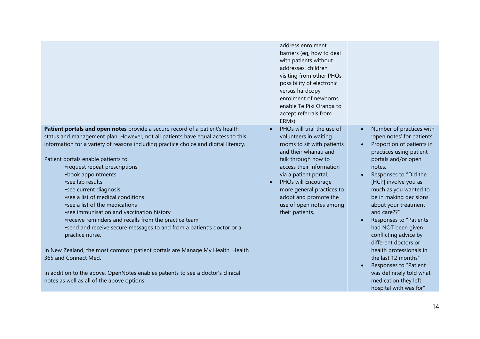|                                                                                                                                                                                                                                                                                                                                                                                                                                                                                                                                                                                                                                                                                                                                                                                                                                                                                                                         | address enrolment<br>barriers (eg, how to deal<br>with patients without<br>addresses, children<br>visiting from other PHOs,<br>possibility of electronic<br>versus hardcopy<br>enrolment of newborns,<br>enable Te Piki Oranga to<br>accept referrals from<br>ERMs).                                                          |                                                                                                                                                                                                                                                                                                                                                                                                                                                                                                                                                                  |
|-------------------------------------------------------------------------------------------------------------------------------------------------------------------------------------------------------------------------------------------------------------------------------------------------------------------------------------------------------------------------------------------------------------------------------------------------------------------------------------------------------------------------------------------------------------------------------------------------------------------------------------------------------------------------------------------------------------------------------------------------------------------------------------------------------------------------------------------------------------------------------------------------------------------------|-------------------------------------------------------------------------------------------------------------------------------------------------------------------------------------------------------------------------------------------------------------------------------------------------------------------------------|------------------------------------------------------------------------------------------------------------------------------------------------------------------------------------------------------------------------------------------------------------------------------------------------------------------------------------------------------------------------------------------------------------------------------------------------------------------------------------------------------------------------------------------------------------------|
| Patient portals and open notes provide a secure record of a patient's health<br>status and management plan. However, not all patients have equal access to this<br>information for a variety of reasons including practice choice and digital literacy.<br>Patient portals enable patients to<br>•request repeat prescriptions<br>•book appointments<br>•see lab results<br>• see current diagnosis<br>• see a list of medical conditions<br>• see a list of the medications<br>•see immunisation and vaccination history<br>•receive reminders and recalls from the practice team<br>•send and receive secure messages to and from a patient's doctor or a<br>practice nurse.<br>In New Zealand, the most common patient portals are Manage My Health, Health<br>365 and Connect Med.<br>In addition to the above, OpenNotes enables patients to see a doctor's clinical<br>notes as well as all of the above options. | PHOs will trial the use of<br>$\bullet$<br>volunteers in waiting<br>rooms to sit with patients<br>and their whanau and<br>talk through how to<br>access their information<br>via a patient portal.<br>PHOs will Encourage<br>more general practices to<br>adopt and promote the<br>use of open notes among<br>their patients. | Number of practices with<br>$\bullet$<br>'open notes' for patients<br>Proportion of patients in<br>practices using patient<br>portals and/or open<br>notes.<br>Responses to "Did the<br>[HCP] involve you as<br>much as you wanted to<br>be in making decisions<br>about your treatment<br>and care??"<br>Responses to "Patients<br>had NOT been given<br>conflicting advice by<br>different doctors or<br>health professionals in<br>the last 12 months"<br>Responses to "Patient<br>was definitely told what<br>medication they left<br>hospital with was for" |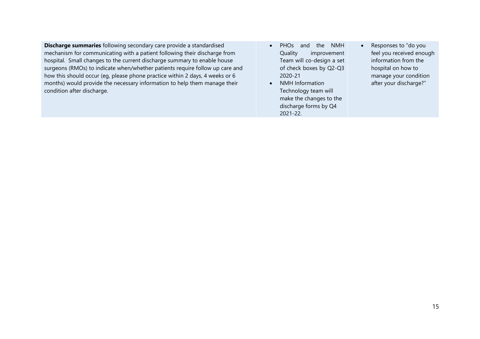**Discharge summaries** following secondary care provide a standardised mechanism for communicating with a patient following their discharge from hospital. Small changes to the current discharge summary to enable house surgeons (RMOs) to indicate when/whether patients require follow up care and how this should occur (eg, please phone practice within 2 days, 4 weeks or 6 months) would provide the necessary information to help them manage their condition after discharge.

- PHOs and the NMH Quality improvement Team will co-design a set of check boxes by Q2-Q3 2020-21
- NMH Information Technology team will make the changes to the discharge forms by Q4 2021-22.
- Responses to "do you feel you received enough information from the hospital on how to manage your condition after your discharge?"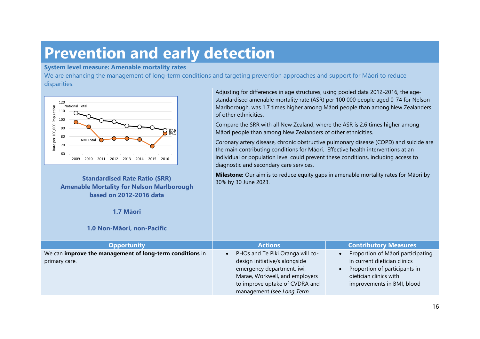### **Prevention and early detection**

#### **System level measure: Amenable mortality rates**

We are enhancing the management of long-term conditions and targeting prevention approaches and support for Māori to reduce disparities.



**Standardised Rate Ratio (SRR) Amenable Mortality for Nelson Marlborough based on 2012-2016 data**

Adjusting for differences in age structures, using pooled data 2012-2016, the agestandardised amenable mortality rate (ASR) per 100 000 people aged 0-74 for Nelson Marlborough, was 1.7 times higher among Māori people than among New Zealanders of other ethnicities.

Compare the SRR with all New Zealand, where the ASR is 2.6 times higher among Māori people than among New Zealanders of other ethnicities.

Coronary artery disease, chronic obstructive pulmonary disease (COPD) and suicide are the main contributing conditions for Māori. Effective health interventions at an individual or population level could prevent these conditions, including access to diagnostic and secondary care services.

**Milestone:** Our aim is to reduce equity gaps in amenable mortality rates for Māori by 30% by 30 June 2023.

| <b>Opportunity</b>                                       | <b>Actions</b>                   | <b>Contributory Measures</b>                   |
|----------------------------------------------------------|----------------------------------|------------------------------------------------|
| We can improve the management of long-term conditions in | PHOs and Te Piki Oranga will co- | Proportion of Māori participating<br>$\bullet$ |
| primary care.                                            | design initiative/s alongside    | in current dietician clinics                   |
|                                                          | emergency department, iwi,       | Proportion of participants in                  |
|                                                          | Marae, Workwell, and employers   | dietician clinics with                         |
|                                                          | to improve uptake of CVDRA and   | improvements in BMI, blood                     |
|                                                          | management (see Long Term        |                                                |

**1.7 Māori**

### **1.0 Non-Māori, non-Pacific**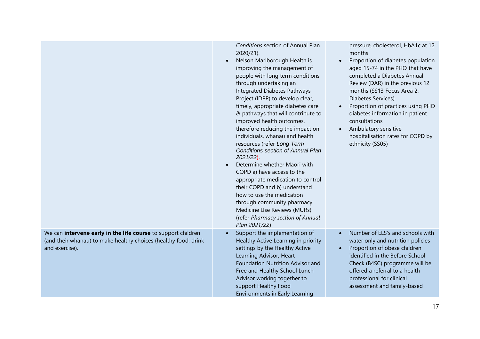|                                                                                                                                                    | Conditions section of Annual Plan<br>2020/21).<br>Nelson Marlborough Health is<br>$\bullet$<br>improving the management of<br>people with long term conditions<br>through undertaking an<br>Integrated Diabetes Pathways<br>Project (IDPP) to develop clear,<br>timely, appropriate diabetes care<br>& pathways that will contribute to<br>improved health outcomes,<br>therefore reducing the impact on<br>individuals, whanau and health<br>resources (refer Long Term<br><b>Conditions section of Annual Plan</b><br>$2021/22$ ).<br>Determine whether Māori with<br>COPD a) have access to the<br>appropriate medication to control<br>their COPD and b) understand<br>how to use the medication<br>through community pharmacy<br>Medicine Use Reviews (MURs)<br>(refer Pharmacy section of Annual<br>Plan 2021/22) | pressure, cholesterol, HbA1c at 12<br>months<br>Proportion of diabetes population<br>$\bullet$<br>aged 15-74 in the PHO that have<br>completed a Diabetes Annual<br>Review (DAR) in the previous 12<br>months (SS13 Focus Area 2:<br>Diabetes Services)<br>Proportion of practices using PHO<br>$\bullet$<br>diabetes information in patient<br>consultations<br>Ambulatory sensitive<br>$\bullet$<br>hospitalisation rates for COPD by<br>ethnicity (SS05) |
|----------------------------------------------------------------------------------------------------------------------------------------------------|-------------------------------------------------------------------------------------------------------------------------------------------------------------------------------------------------------------------------------------------------------------------------------------------------------------------------------------------------------------------------------------------------------------------------------------------------------------------------------------------------------------------------------------------------------------------------------------------------------------------------------------------------------------------------------------------------------------------------------------------------------------------------------------------------------------------------|-------------------------------------------------------------------------------------------------------------------------------------------------------------------------------------------------------------------------------------------------------------------------------------------------------------------------------------------------------------------------------------------------------------------------------------------------------------|
| We can intervene early in the life course to support children<br>(and their whanau) to make healthy choices (healthy food, drink<br>and exercise). | Support the implementation of<br>$\bullet$<br>Healthy Active Learning in priority<br>settings by the Healthy Active<br>Learning Advisor, Heart<br>Foundation Nutrition Advisor and<br>Free and Healthy School Lunch<br>Advisor working together to<br>support Healthy Food<br><b>Environments in Early Learning</b>                                                                                                                                                                                                                                                                                                                                                                                                                                                                                                     | Number of ELS's and schools with<br>water only and nutrition policies<br>Proportion of obese children<br>$\bullet$<br>identified in the Before School<br>Check (B4SC) programme will be<br>offered a referral to a health<br>professional for clinical<br>assessment and family-based                                                                                                                                                                       |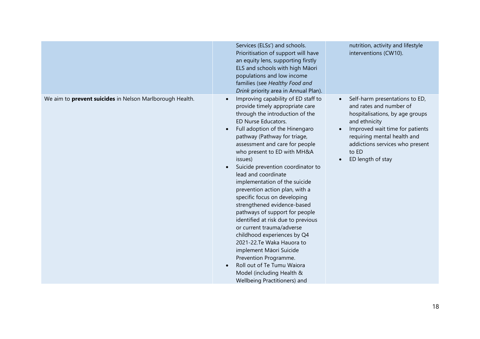|                                                                 | Services (ELSs') and schools.<br>Prioritisation of support will have<br>an equity lens, supporting firstly<br>ELS and schools with high Māori<br>populations and low income<br>families (see Healthy Food and<br>Drink priority area in Annual Plan).                                                                                                                                                                                                                                                                                                                                                                                                                                                                                                                                        | nutrition, activity and lifestyle<br>interventions (CW10).                                                                                                                                                                                                                 |
|-----------------------------------------------------------------|----------------------------------------------------------------------------------------------------------------------------------------------------------------------------------------------------------------------------------------------------------------------------------------------------------------------------------------------------------------------------------------------------------------------------------------------------------------------------------------------------------------------------------------------------------------------------------------------------------------------------------------------------------------------------------------------------------------------------------------------------------------------------------------------|----------------------------------------------------------------------------------------------------------------------------------------------------------------------------------------------------------------------------------------------------------------------------|
| We aim to <b>prevent suicides</b> in Nelson Marlborough Health. | Improving capability of ED staff to<br>provide timely appropriate care<br>through the introduction of the<br>ED Nurse Educators.<br>Full adoption of the Hinengaro<br>pathway (Pathway for triage,<br>assessment and care for people<br>who present to ED with MH&A<br>issues)<br>Suicide prevention coordinator to<br>lead and coordinate<br>implementation of the suicide<br>prevention action plan, with a<br>specific focus on developing<br>strengthened evidence-based<br>pathways of support for people<br>identified at risk due to previous<br>or current trauma/adverse<br>childhood experiences by Q4<br>2021-22.Te Waka Hauora to<br>implement Māori Suicide<br>Prevention Programme.<br>Roll out of Te Tumu Waiora<br>Model (including Health &<br>Wellbeing Practitioners) and | Self-harm presentations to ED,<br>and rates and number of<br>hospitalisations, by age groups<br>and ethnicity<br>Improved wait time for patients<br>$\bullet$<br>requiring mental health and<br>addictions services who present<br>to ED<br>ED length of stay<br>$\bullet$ |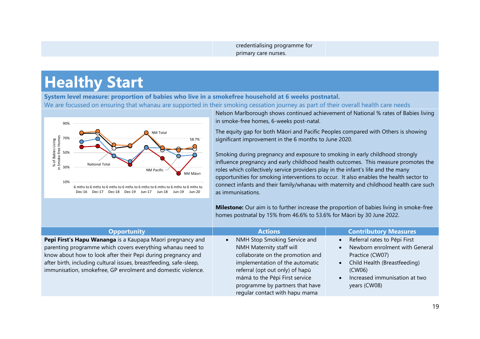credentialising programme for primary care nurses.

### **Healthy Start**

**System level measure: proportion of babies who live in a smokefree household at 6 weeks postnatal.**

We are focussed on ensuring that whanau are supported in their smoking cessation journey as part of their overall health care needs



Nelson Marlborough shows continued achievement of National % rates of Babies living in smoke-free homes, 6-weeks post-natal.

The equity gap for both Māori and Pacific Peoples compared with Others is showing significant improvement in the 6 months to June 2020.

Smoking during pregnancy and exposure to smoking in early childhood strongly influence pregnancy and early childhood health outcomes. This measure promotes the roles which collectively service providers play in the infant's life and the many opportunities for smoking interventions to occur. It also enables the health sector to connect infants and their family/whanau with maternity and childhood health care such as immunisations.

**Milestone:** Our aim is to further increase the proportion of babies living in smoke-free homes postnatal by 15% from 46.6% to 53.6% for Māori by 30 June 2022.

| <b>Opportunity</b>                                                                                                                                                                                                                                                                                                             | <b>Actions</b>                                                                                                                                                                                       | <b>Contributory Measures</b>                                                                                                                                                           |
|--------------------------------------------------------------------------------------------------------------------------------------------------------------------------------------------------------------------------------------------------------------------------------------------------------------------------------|------------------------------------------------------------------------------------------------------------------------------------------------------------------------------------------------------|----------------------------------------------------------------------------------------------------------------------------------------------------------------------------------------|
| Pepi First's Hapu Wananga is a Kaupapa Maori pregnancy and<br>parenting programme which covers everything whanau need to<br>know about how to look after their Pepi during pregnancy and<br>after birth, including cultural issues, breastfeeding, safe-sleep,<br>immunisation, smokefree, GP enrolment and domestic violence. | NMH Stop Smoking Service and<br>NMH Maternity staff will<br>collaborate on the promotion and<br>implementation of the automatic<br>referral (opt out only) of hapū<br>māmā to the Pēpi First service | Referral rates to Pēpi First<br>$\bullet$<br>Newborn enrolment with General<br>Practice (CW07)<br>Child Health (Breastfeeding)<br>$\bullet$<br>(CW06)<br>Increased immunisation at two |
|                                                                                                                                                                                                                                                                                                                                | programme by partners that have<br>regular contact with hapu mama                                                                                                                                    | years (CW08)                                                                                                                                                                           |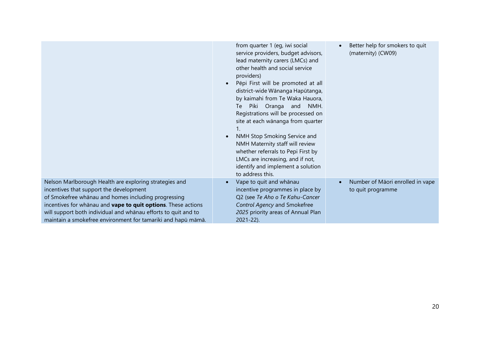|                                                                                                                                                                                                                                                                                                                                                             | from quarter 1 (eg, iwi social<br>service providers, budget advisors,<br>lead maternity carers (LMCs) and<br>other health and social service<br>providers)<br>Pēpi First will be promoted at all<br>district-wide Wānanga Hapūtanga,<br>by kaimahi from Te Waka Hauora,<br>Piki Oranga and NMH.<br>Te<br>Registrations will be processed on<br>site at each wānanga from quarter<br>NMH Stop Smoking Service and<br>NMH Maternity staff will review<br>whether referrals to Pepi First by<br>LMCs are increasing, and if not,<br>identify and implement a solution<br>to address this. | Better help for smokers to quit<br>(maternity) (CW09) |
|-------------------------------------------------------------------------------------------------------------------------------------------------------------------------------------------------------------------------------------------------------------------------------------------------------------------------------------------------------------|----------------------------------------------------------------------------------------------------------------------------------------------------------------------------------------------------------------------------------------------------------------------------------------------------------------------------------------------------------------------------------------------------------------------------------------------------------------------------------------------------------------------------------------------------------------------------------------|-------------------------------------------------------|
| Nelson Marlborough Health are exploring strategies and<br>incentives that support the development<br>of Smokefree whānau and homes including progressing<br>incentives for whanau and vape to quit options. These actions<br>will support both individual and whānau efforts to quit and to<br>maintain a smokefree environment for tamariki and hapū māmā. | Vape to quit and whānau<br>incentive programmes in place by<br>Q2 (see Te Aho o Te Kahu-Cancer<br>Control Agency and Smokefree<br>2025 priority areas of Annual Plan<br>$2021 - 22$ ).                                                                                                                                                                                                                                                                                                                                                                                                 | Number of Māori enrolled in vape<br>to quit programme |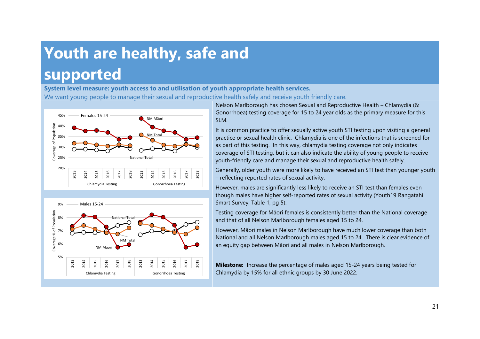## **Youth are healthy, safe and supported**

**System level measure: youth access to and utilisation of youth appropriate health services.** We want young people to manage their sexual and reproductive health safely and receive youth friendly care.





Nelson Marlborough has chosen Sexual and Reproductive Health – Chlamydia (& Gonorrhoea) testing coverage for 15 to 24 year olds as the primary measure for this SLM.

It is common practice to offer sexually active youth STI testing upon visiting a general practice or sexual health clinic. Chlamydia is one of the infections that is screened for as part of this testing. In this way, chlamydia testing coverage not only indicates coverage of STI testing, but it can also indicate the ability of young people to receive youth-friendly care and manage their sexual and reproductive health safely.

Generally, older youth were more likely to have received an STI test than younger youth – reflecting reported rates of sexual activity.

However, males are significantly less likely to receive an STI test than females even though males have higher self-reported rates of sexual activity (Youth19 Rangatahi Smart Survey, Table 1, pg 5).

Testing coverage for Māori females is consistently better than the National coverage and that of all Nelson Marlborough females aged 15 to 24.

However, Māori males in Nelson Marlborough have much lower coverage than both National and all Nelson Marlborough males aged 15 to 24. There is clear evidence of an equity gap between Māori and all males in Nelson Marlborough.

**Milestone:** Increase the percentage of males aged 15-24 years being tested for Chlamydia by 15% for all ethnic groups by 30 June 2022.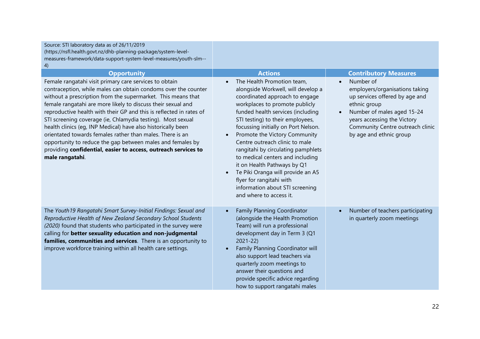| Source: STI laboratory data as of 26/11/2019<br>(https://nsfl.health.govt.nz/dhb-planning-package/system-level-<br>measures-framework/data-support-system-level-measures/youth-slm--<br>4)<br><b>Opportunity</b><br>Female rangatahi visit primary care services to obtain<br>contraception, while males can obtain condoms over the counter<br>without a prescription from the supermarket. This means that<br>female rangatahi are more likely to discuss their sexual and<br>reproductive health with their GP and this is reflected in rates of<br>STI screening coverage (ie, Chlamydia testing). Most sexual<br>health clinics (eg, INP Medical) have also historically been<br>orientated towards females rather than males. There is an<br>opportunity to reduce the gap between males and females by<br>providing confidential, easier to access, outreach services to<br>male rangatahi. | <b>Actions</b><br>The Health Promotion team,<br>alongside Workwell, will develop a<br>coordinated approach to engage<br>workplaces to promote publicly<br>funded health services (including<br>STI testing) to their employees,<br>focussing initially on Port Nelson.<br>Promote the Victory Community<br>$\bullet$<br>Centre outreach clinic to male<br>rangitahi by circulating pamphlets<br>to medical centers and including<br>it on Health Pathways by Q1<br>Te Piki Oranga will provide an A5<br>flyer for rangitahi with<br>information about STI screening | <b>Contributory Measures</b><br>Number of<br>$\bullet$<br>employers/organisations taking<br>up services offered by age and<br>ethnic group<br>Number of males aged 15-24<br>years accessing the Victory<br>Community Centre outreach clinic<br>by age and ethnic group |
|----------------------------------------------------------------------------------------------------------------------------------------------------------------------------------------------------------------------------------------------------------------------------------------------------------------------------------------------------------------------------------------------------------------------------------------------------------------------------------------------------------------------------------------------------------------------------------------------------------------------------------------------------------------------------------------------------------------------------------------------------------------------------------------------------------------------------------------------------------------------------------------------------|---------------------------------------------------------------------------------------------------------------------------------------------------------------------------------------------------------------------------------------------------------------------------------------------------------------------------------------------------------------------------------------------------------------------------------------------------------------------------------------------------------------------------------------------------------------------|------------------------------------------------------------------------------------------------------------------------------------------------------------------------------------------------------------------------------------------------------------------------|
| The Youth19 Rangatahi Smart Survey-Initial Findings: Sexual and<br>Reproductive Health of New Zealand Secondary School Students<br>(2020) found that students who participated in the survey were<br>calling for better sexuality education and non-judgmental<br>families, communities and services. There is an opportunity to<br>improve workforce training within all health care settings.                                                                                                                                                                                                                                                                                                                                                                                                                                                                                                    | and where to access it.<br><b>Family Planning Coordinator</b><br>(alongside the Health Promotion<br>Team) will run a professional<br>development day in Term 3 (Q1<br>$2021 - 22$<br>Family Planning Coordinator will<br>also support lead teachers via<br>quarterly zoom meetings to<br>answer their questions and<br>provide specific advice regarding<br>how to support rangatahi males                                                                                                                                                                          | Number of teachers participating<br>$\bullet$<br>in quarterly zoom meetings                                                                                                                                                                                            |